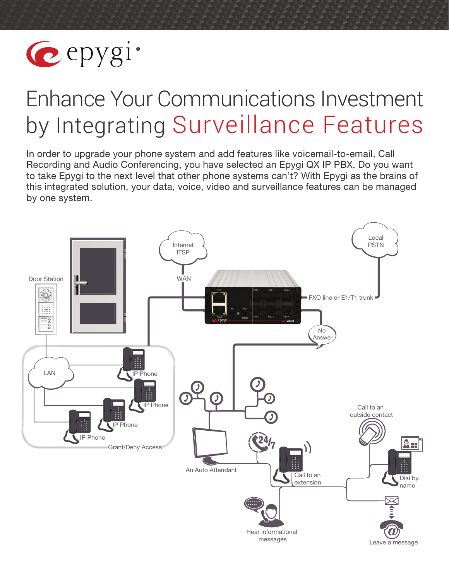

# Enhance Your Communications Investment by Integrating Surveillance Features

In order to upgrade your phone system and add features like voicemail-to-email, Call Recording and Audio Conferencing, you have selected an Epygi QX IP PBX. Do you want to take Epygi to the next level that other phone systems can't? With Epygi as the brains of this integrated solution, your data, voice, video and surveillance features can be managed by one system.